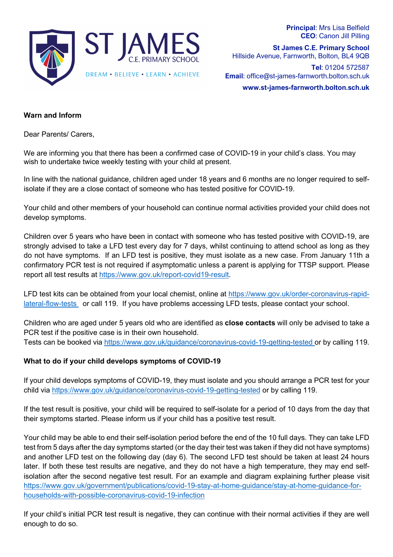

**Principal**: Mrs Lisa Belfield **CEO**: Canon Jill Pilling

**St James C.E. Primary School** Hillside Avenue, Farnworth, Bolton, BL4 9QB

**Tel**: 01204 572587 **Email**: office@st-james-farnworth.bolton.sch.uk

**www.st-james-farnworth.bolton.sch.uk**

### **Warn and Inform**

Dear Parents/ Carers,

We are informing you that there has been a confirmed case of COVID-19 in your child's class. You may wish to undertake twice weekly testing with your child at present.

In line with the national guidance, children aged under 18 years and 6 months are no longer required to selfisolate if they are a close contact of someone who has tested positive for COVID-19.

Your child and other members of your household can continue normal activities provided your child does not develop symptoms.

Children over 5 years who have been in contact with someone who has tested positive with COVID-19, are strongly advised to take a LFD test every day for 7 days, whilst continuing to attend school as long as they do not have symptoms. If an LFD test is positive, they must isolate as a new case. From January 11th a confirmatory PCR test is not required if asymptomatic unless a parent is applying for TTSP support. Please report all test results at https://www.gov.uk/report-covid19-result.

LFD test kits can be obtained from your local chemist, online at https://www.gov.uk/order-coronavirus-rapidlateral-flow-tests or call 119. If you have problems accessing LFD tests, please contact your school.

Children who are aged under 5 years old who are identified as **close contacts** will only be advised to take a PCR test if the positive case is in their own household.

Tests can be booked via https://www.gov.uk/guidance/coronavirus-covid-19-getting-tested or by calling 119.

## **What to do if your child develops symptoms of COVID-19**

If your child develops symptoms of COVID-19, they must isolate and you should arrange a PCR test for your child via https://www.gov.uk/guidance/coronavirus-covid-19-getting-tested or by calling 119.

If the test result is positive, your child will be required to self-isolate for a period of 10 days from the day that their symptoms started. Please inform us if your child has a positive test result.

Your child may be able to end their self-isolation period before the end of the 10 full days. They can take LFD test from 5 days after the day symptoms started (or the day their test was taken if they did not have symptoms) and another LFD test on the following day (day 6). The second LFD test should be taken at least 24 hours later. If both these test results are negative, and they do not have a high temperature, they may end selfisolation after the second negative test result. For an example and diagram explaining further please visit https://www.gov.uk/government/publications/covid-19-stay-at-home-guidance/stay-at-home-guidance-forhouseholds-with-possible-coronavirus-covid-19-infection

If your child's initial PCR test result is negative, they can continue with their normal activities if they are well enough to do so.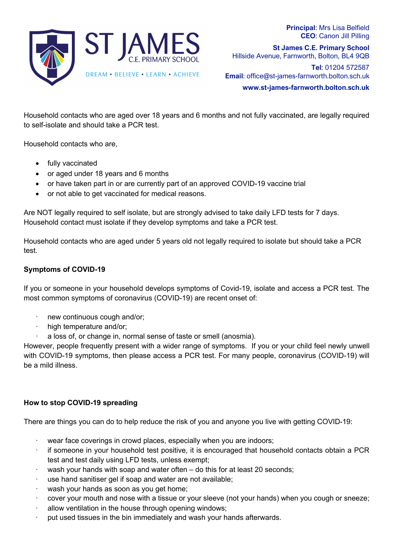

**Principal**: Mrs Lisa Belfield **CEO**: Canon Jill Pilling

**St James C.E. Primary School** Hillside Avenue, Farnworth, Bolton, BL4 9QB

**Tel**: 01204 572587 **Email**: office@st-james-farnworth.bolton.sch.uk

**www.st-james-farnworth.bolton.sch.uk**

Household contacts who are aged over 18 years and 6 months and not fully vaccinated, are legally required to self-isolate and should take a PCR test.

Household contacts who are,

- fully vaccinated
- or aged under 18 years and 6 months
- or have taken part in or are currently part of an approved COVID-19 vaccine trial
- or not able to get vaccinated for medical reasons.

Are NOT legally required to self isolate, but are strongly advised to take daily LFD tests for 7 days. Household contact must isolate if they develop symptoms and take a PCR test.

Household contacts who are aged under 5 years old not legally required to isolate but should take a PCR test.

#### **Symptoms of COVID-19**

If you or someone in your household develops symptoms of Covid-19, isolate and access a PCR test. The most common symptoms of coronavirus (COVID-19) are recent onset of:

- new continuous cough and/or;
- high temperature and/or;
- a loss of, or change in, normal sense of taste or smell (anosmia).

However, people frequently present with a wider range of symptoms. If you or your child feel newly unwell with COVID-19 symptoms, then please access a PCR test. For many people, coronavirus (COVID-19) will be a mild illness.

#### **How to stop COVID-19 spreading**

There are things you can do to help reduce the risk of you and anyone you live with getting COVID-19:

- wear face coverings in crowd places, especially when you are indoors;
- if someone in your household test positive, it is encouraged that household contacts obtain a PCR test and test daily using LFD tests, unless exempt;
- wash your hands with soap and water often do this for at least 20 seconds;
- use hand sanitiser gel if soap and water are not available;
- wash your hands as soon as you get home;
- · cover your mouth and nose with a tissue or your sleeve (not your hands) when you cough or sneeze;
- allow ventilation in the house through opening windows;
- put used tissues in the bin immediately and wash your hands afterwards.